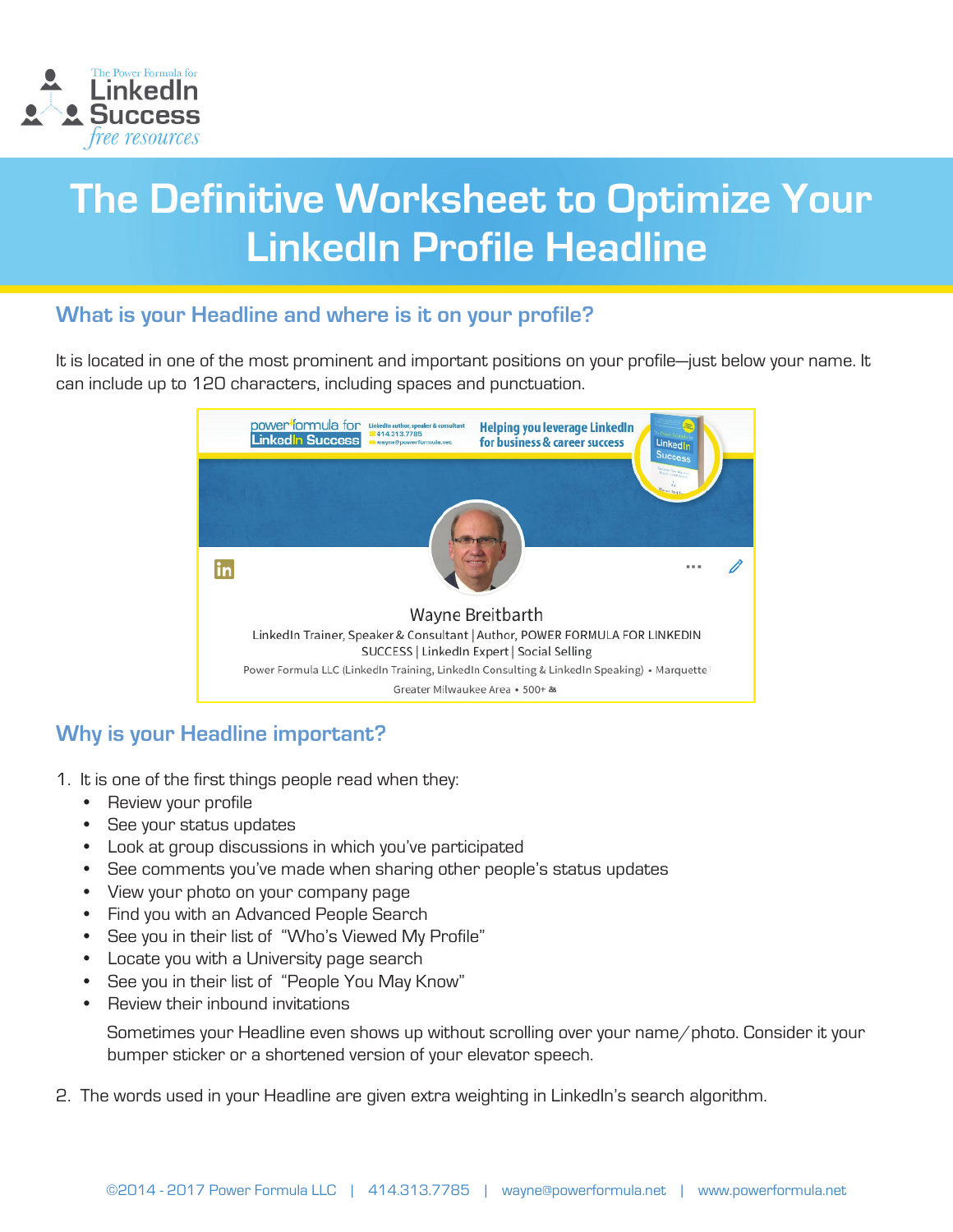

# The Definitive Worksheet to Optimize Your **LinkedIn Profile Headline**

## **What is your Headline and where is it on your profile?**

It is located in one of the most prominent and important positions on your profile—just below your name. It can include up to 120 characters, including spaces and punctuation.

| power <sup>t</sup> formula for<br><b>Linked n Success</b> | LinkedIn author, speaker & consultant<br>414.313.7785<br>wayne@powerformula.net                                                                                                                                                                                                | <b>Helping you leverage LinkedIn</b><br>for business & career success | <b>The Princess Formado &amp;</b><br>LinkedIn<br><b>Success</b> |  |  |  |  |  |  |  |
|-----------------------------------------------------------|--------------------------------------------------------------------------------------------------------------------------------------------------------------------------------------------------------------------------------------------------------------------------------|-----------------------------------------------------------------------|-----------------------------------------------------------------|--|--|--|--|--|--|--|
|                                                           |                                                                                                                                                                                                                                                                                |                                                                       | allowing them the river.<br>54<br><b>Store Bank</b><br>         |  |  |  |  |  |  |  |
|                                                           | Wayne Breitbarth<br>LinkedIn Trainer, Speaker & Consultant   Author, POWER FORMULA FOR LINKEDIN<br>SUCCESS   LinkedIn Expert   Social Selling<br>Power Formula LLC (LinkedIn Training, LinkedIn Consulting & LinkedIn Speaking) • Marquette<br>Greater Milwaukee Area • 500+ & |                                                                       |                                                                 |  |  |  |  |  |  |  |

# **Why is your Headline important?**

- 1. It is one of the first things people read when they:
	- Review your profile
	- See your status updates
	- Look at group discussions in which you've participated
	- See comments you've made when sharing other people's status updates
	- View your photo on your company page
	- Find you with an Advanced People Search
	- See you in their list of "Who's Viewed My Profile"
	- Locate you with a University page search
	- See you in their list of "People You May Know"
	- Review their inbound invitations

 Sometimes your Headline even shows up without scrolling over your name/photo. Consider it your bumper sticker or a shortened version of your elevator speech.

2. The words used in your Headline are given extra weighting in LinkedIn's search algorithm.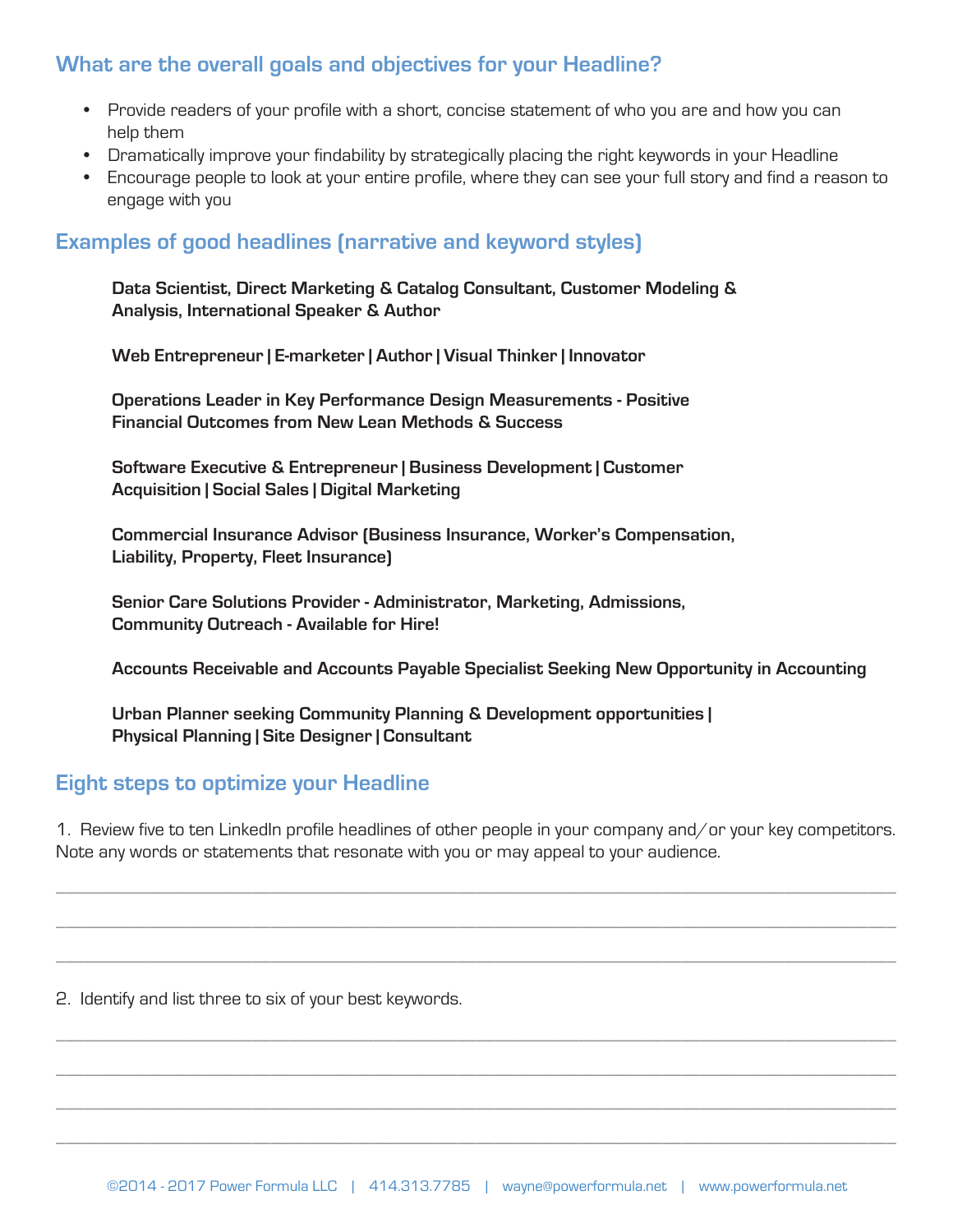# **What are the overall goals and objectives for your Headline?**

- Provide readers of your profile with a short, concise statement of who you are and how you can help them
- Dramatically improve your findability by strategically placing the right keywords in your Headline
- Encourage people to look at your entire profile, where they can see your full story and find a reason to engage with you

### **Examples of good headlines (narrative and keyword styles)**

**Data Scientist, Direct Marketing & Catalog Consultant, Customer Modeling & Analysis, International Speaker & Author**

**Web Entrepreneur | E-marketer | Author | Visual Thinker | Innovator**

**Operations Leader in Key Performance Design Measurements - Positive Financial Outcomes from New Lean Methods & Success**

**Software Executive & Entrepreneur | Business Development | Customer Acquisition | Social Sales | Digital Marketing**

**Commercial Insurance Advisor (Business Insurance, Worker's Compensation, Liability, Property, Fleet Insurance)**

**Senior Care Solutions Provider - Administrator, Marketing, Admissions, Community Outreach - Available for Hire!**

**Accounts Receivable and Accounts Payable Specialist Seeking New Opportunity in Accounting**

**Urban Planner seeking Community Planning & Development opportunities | Physical Planning | Site Designer | Consultant**

#### **Eight steps to optimize your Headline**

1. Review five to ten LinkedIn profile headlines of other people in your company and/or your key competitors. Note any words or statements that resonate with you or may appeal to your audience.

\_\_\_\_\_\_\_\_\_\_\_\_\_\_\_\_\_\_\_\_\_\_\_\_\_\_\_\_\_\_\_\_\_\_\_\_\_\_\_\_\_\_\_\_\_\_\_\_\_\_\_\_\_\_\_\_\_\_\_\_\_\_\_\_\_\_\_\_\_\_\_\_\_\_\_\_\_\_\_\_\_\_\_\_\_\_\_\_\_\_

\_\_\_\_\_\_\_\_\_\_\_\_\_\_\_\_\_\_\_\_\_\_\_\_\_\_\_\_\_\_\_\_\_\_\_\_\_\_\_\_\_\_\_\_\_\_\_\_\_\_\_\_\_\_\_\_\_\_\_\_\_\_\_\_\_\_\_\_\_\_\_\_\_\_\_\_\_\_\_\_\_\_\_\_\_\_\_\_\_\_

\_\_\_\_\_\_\_\_\_\_\_\_\_\_\_\_\_\_\_\_\_\_\_\_\_\_\_\_\_\_\_\_\_\_\_\_\_\_\_\_\_\_\_\_\_\_\_\_\_\_\_\_\_\_\_\_\_\_\_\_\_\_\_\_\_\_\_\_\_\_\_\_\_\_\_\_\_\_\_\_\_\_\_\_\_\_\_\_\_\_

\_\_\_\_\_\_\_\_\_\_\_\_\_\_\_\_\_\_\_\_\_\_\_\_\_\_\_\_\_\_\_\_\_\_\_\_\_\_\_\_\_\_\_\_\_\_\_\_\_\_\_\_\_\_\_\_\_\_\_\_\_\_\_\_\_\_\_\_\_\_\_\_\_\_\_\_\_\_\_\_\_\_\_\_\_\_\_\_\_\_

\_\_\_\_\_\_\_\_\_\_\_\_\_\_\_\_\_\_\_\_\_\_\_\_\_\_\_\_\_\_\_\_\_\_\_\_\_\_\_\_\_\_\_\_\_\_\_\_\_\_\_\_\_\_\_\_\_\_\_\_\_\_\_\_\_\_\_\_\_\_\_\_\_\_\_\_\_\_\_\_\_\_\_\_\_\_\_\_\_\_

\_\_\_\_\_\_\_\_\_\_\_\_\_\_\_\_\_\_\_\_\_\_\_\_\_\_\_\_\_\_\_\_\_\_\_\_\_\_\_\_\_\_\_\_\_\_\_\_\_\_\_\_\_\_\_\_\_\_\_\_\_\_\_\_\_\_\_\_\_\_\_\_\_\_\_\_\_\_\_\_\_\_\_\_\_\_\_\_\_\_

\_\_\_\_\_\_\_\_\_\_\_\_\_\_\_\_\_\_\_\_\_\_\_\_\_\_\_\_\_\_\_\_\_\_\_\_\_\_\_\_\_\_\_\_\_\_\_\_\_\_\_\_\_\_\_\_\_\_\_\_\_\_\_\_\_\_\_\_\_\_\_\_\_\_\_\_\_\_\_\_\_\_\_\_\_\_\_\_\_\_

2. Identify and list three to six of your best keywords.